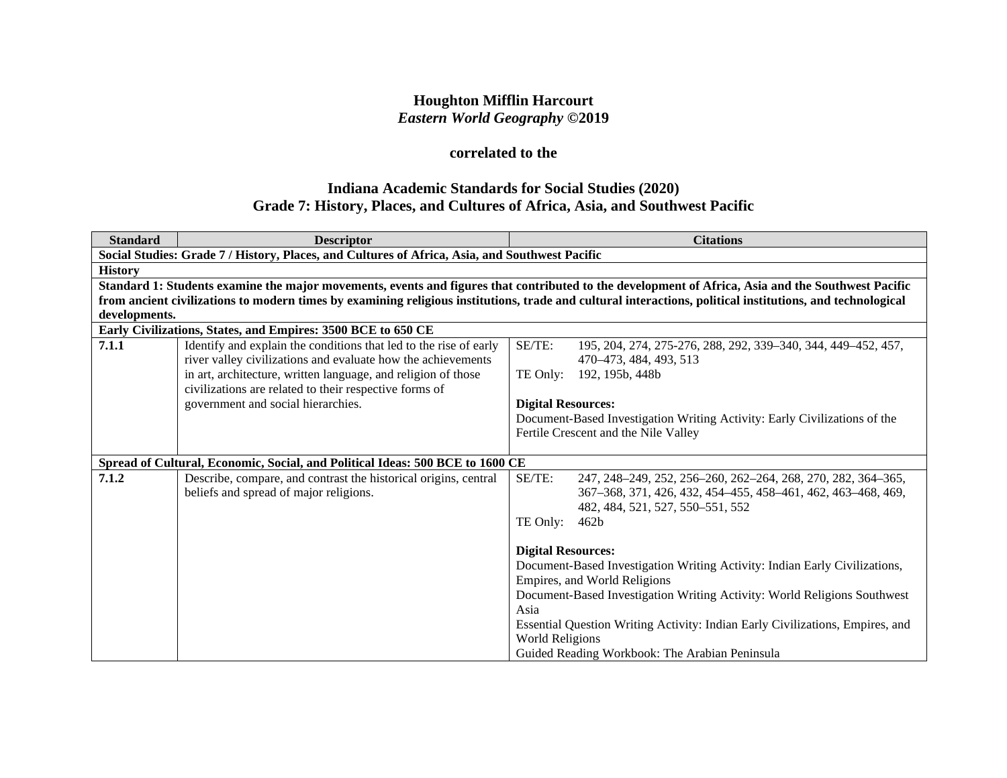# **Houghton Mifflin Harcourt** *Eastern World Geography* **©2019**

# **correlated to the**

# **Indiana Academic Standards for Social Studies (2020) Grade 7: History, Places, and Cultures of Africa, Asia, and Southwest Pacific**

| <b>Standard</b>                                              | <b>Descriptor</b>                                                                                                                                          |                           | <b>Citations</b>                                                                                                                                   |  |
|--------------------------------------------------------------|------------------------------------------------------------------------------------------------------------------------------------------------------------|---------------------------|----------------------------------------------------------------------------------------------------------------------------------------------------|--|
|                                                              | Social Studies: Grade 7 / History, Places, and Cultures of Africa, Asia, and Southwest Pacific                                                             |                           |                                                                                                                                                    |  |
| <b>History</b>                                               |                                                                                                                                                            |                           |                                                                                                                                                    |  |
|                                                              |                                                                                                                                                            |                           | Standard 1: Students examine the major movements, events and figures that contributed to the development of Africa, Asia and the Southwest Pacific |  |
|                                                              | from ancient civilizations to modern times by examining religious institutions, trade and cultural interactions, political institutions, and technological |                           |                                                                                                                                                    |  |
| developments.                                                |                                                                                                                                                            |                           |                                                                                                                                                    |  |
| Early Civilizations, States, and Empires: 3500 BCE to 650 CE |                                                                                                                                                            |                           |                                                                                                                                                    |  |
| 7.1.1                                                        | Identify and explain the conditions that led to the rise of early                                                                                          | SE/TE:                    | 195, 204, 274, 275-276, 288, 292, 339-340, 344, 449-452, 457,                                                                                      |  |
|                                                              | river valley civilizations and evaluate how the achievements                                                                                               |                           | 470–473, 484, 493, 513                                                                                                                             |  |
|                                                              | in art, architecture, written language, and religion of those<br>civilizations are related to their respective forms of                                    |                           | TE Only: 192, 195b, 448b                                                                                                                           |  |
|                                                              | government and social hierarchies.                                                                                                                         | <b>Digital Resources:</b> |                                                                                                                                                    |  |
|                                                              |                                                                                                                                                            |                           | Document-Based Investigation Writing Activity: Early Civilizations of the                                                                          |  |
|                                                              |                                                                                                                                                            |                           | Fertile Crescent and the Nile Valley                                                                                                               |  |
|                                                              |                                                                                                                                                            |                           |                                                                                                                                                    |  |
|                                                              | Spread of Cultural, Economic, Social, and Political Ideas: 500 BCE to 1600 CE                                                                              |                           |                                                                                                                                                    |  |
| 7.1.2                                                        | Describe, compare, and contrast the historical origins, central                                                                                            | SE/TE:                    | 247, 248-249, 252, 256-260, 262-264, 268, 270, 282, 364-365,                                                                                       |  |
|                                                              | beliefs and spread of major religions.                                                                                                                     |                           | 367-368, 371, 426, 432, 454-455, 458-461, 462, 463-468, 469,                                                                                       |  |
|                                                              |                                                                                                                                                            |                           | 482, 484, 521, 527, 550-551, 552                                                                                                                   |  |
|                                                              |                                                                                                                                                            | TE Only:                  | 462 <sub>b</sub>                                                                                                                                   |  |
|                                                              |                                                                                                                                                            | <b>Digital Resources:</b> |                                                                                                                                                    |  |
|                                                              |                                                                                                                                                            |                           | Document-Based Investigation Writing Activity: Indian Early Civilizations,                                                                         |  |
|                                                              |                                                                                                                                                            |                           | Empires, and World Religions                                                                                                                       |  |
|                                                              |                                                                                                                                                            |                           | Document-Based Investigation Writing Activity: World Religions Southwest                                                                           |  |
|                                                              |                                                                                                                                                            | Asia                      |                                                                                                                                                    |  |
|                                                              |                                                                                                                                                            |                           | Essential Question Writing Activity: Indian Early Civilizations, Empires, and                                                                      |  |
|                                                              |                                                                                                                                                            | World Religions           |                                                                                                                                                    |  |
|                                                              |                                                                                                                                                            |                           | Guided Reading Workbook: The Arabian Peninsula                                                                                                     |  |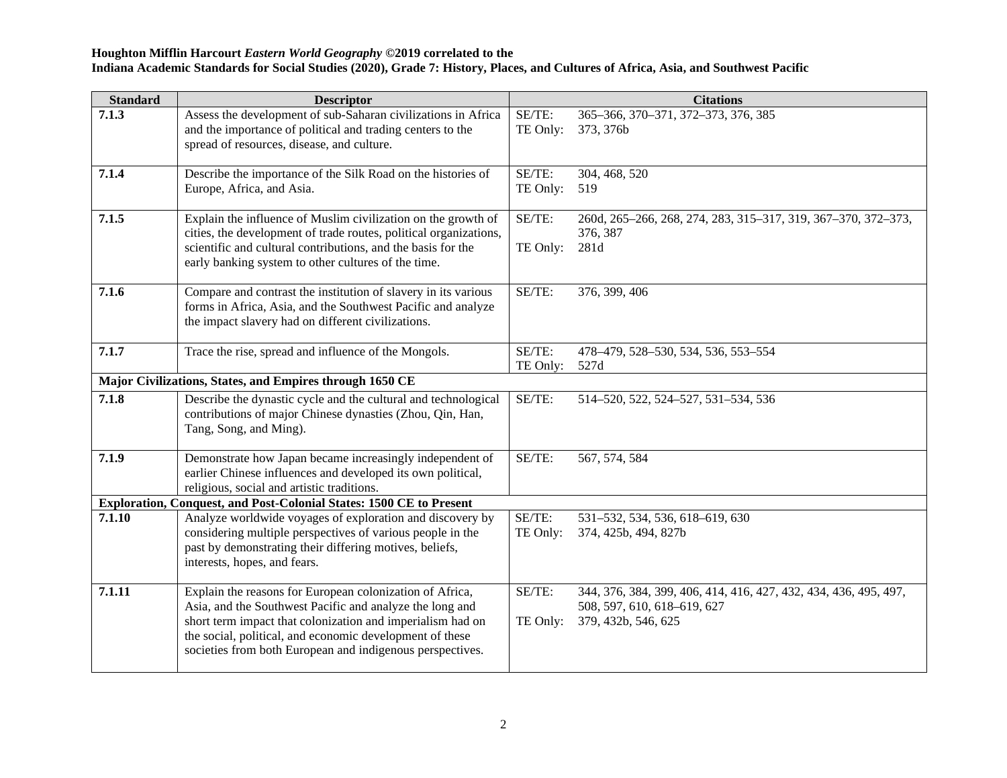| <b>Standard</b> | <b>Descriptor</b>                                                                                                                                                                                                                                                                                           |                    | <b>Citations</b>                                                                                                       |
|-----------------|-------------------------------------------------------------------------------------------------------------------------------------------------------------------------------------------------------------------------------------------------------------------------------------------------------------|--------------------|------------------------------------------------------------------------------------------------------------------------|
| 7.1.3           | Assess the development of sub-Saharan civilizations in Africa<br>and the importance of political and trading centers to the<br>spread of resources, disease, and culture.                                                                                                                                   | SE/TE:<br>TE Only: | 365-366, 370-371, 372-373, 376, 385<br>373, 376b                                                                       |
| 7.1.4           | Describe the importance of the Silk Road on the histories of<br>Europe, Africa, and Asia.                                                                                                                                                                                                                   | SE/TE:<br>TE Only: | 304, 468, 520<br>519                                                                                                   |
| 7.1.5           | Explain the influence of Muslim civilization on the growth of<br>cities, the development of trade routes, political organizations,<br>scientific and cultural contributions, and the basis for the<br>early banking system to other cultures of the time.                                                   | SE/TE:<br>TE Only: | 260d, 265-266, 268, 274, 283, 315-317, 319, 367-370, 372-373,<br>376, 387<br>281d                                      |
| 7.1.6           | Compare and contrast the institution of slavery in its various<br>forms in Africa, Asia, and the Southwest Pacific and analyze<br>the impact slavery had on different civilizations.                                                                                                                        | SE/TE:             | 376, 399, 406                                                                                                          |
| 7.1.7           | Trace the rise, spread and influence of the Mongols.                                                                                                                                                                                                                                                        | SE/TE:<br>TE Only: | 478-479, 528-530, 534, 536, 553-554<br>527d                                                                            |
|                 | Major Civilizations, States, and Empires through 1650 CE                                                                                                                                                                                                                                                    |                    |                                                                                                                        |
| 7.1.8           | Describe the dynastic cycle and the cultural and technological<br>contributions of major Chinese dynasties (Zhou, Qin, Han,<br>Tang, Song, and Ming).                                                                                                                                                       | SE/TE:             | 514-520, 522, 524-527, 531-534, 536                                                                                    |
| 7.1.9           | Demonstrate how Japan became increasingly independent of<br>earlier Chinese influences and developed its own political,<br>religious, social and artistic traditions.                                                                                                                                       | SE/TE:             | 567, 574, 584                                                                                                          |
|                 | Exploration, Conquest, and Post-Colonial States: 1500 CE to Present                                                                                                                                                                                                                                         |                    |                                                                                                                        |
| 7.1.10          | Analyze worldwide voyages of exploration and discovery by<br>considering multiple perspectives of various people in the<br>past by demonstrating their differing motives, beliefs,<br>interests, hopes, and fears.                                                                                          | SE/TE:<br>TE Only: | 531-532, 534, 536, 618-619, 630<br>374, 425b, 494, 827b                                                                |
| 7.1.11          | Explain the reasons for European colonization of Africa,<br>Asia, and the Southwest Pacific and analyze the long and<br>short term impact that colonization and imperialism had on<br>the social, political, and economic development of these<br>societies from both European and indigenous perspectives. | SE/TE:<br>TE Only: | 344, 376, 384, 399, 406, 414, 416, 427, 432, 434, 436, 495, 497,<br>508, 597, 610, 618-619, 627<br>379, 432b, 546, 625 |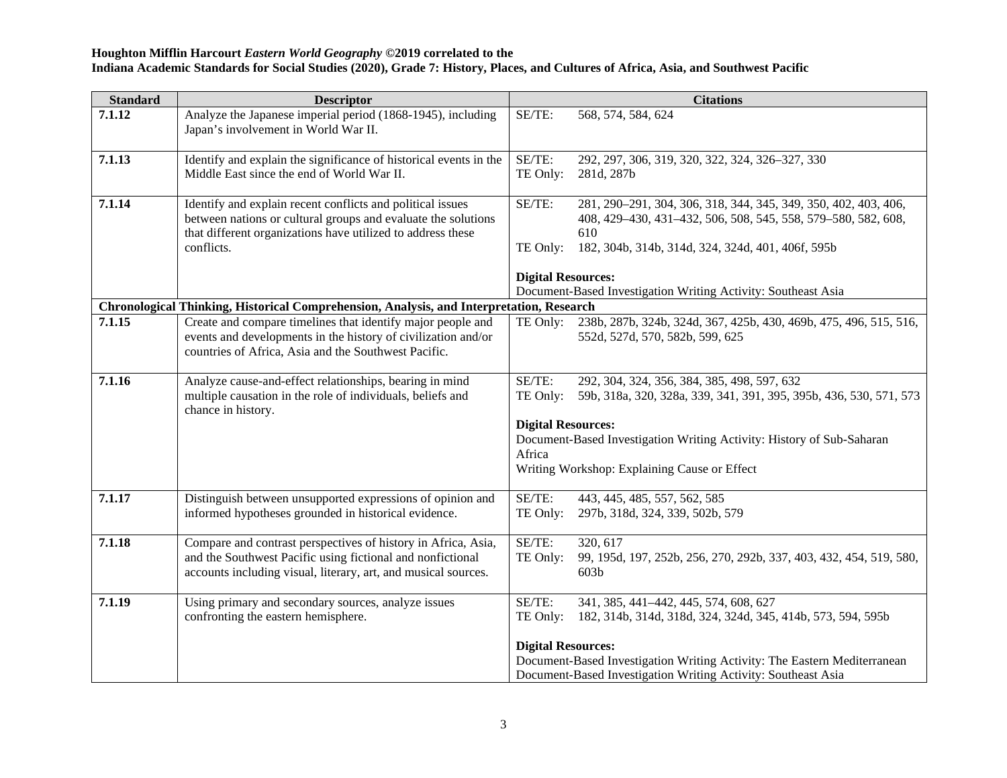| <b>Standard</b> | <b>Descriptor</b>                                                                                                                                                                                        |                                     | <b>Citations</b>                                                                                                                                                                             |  |  |
|-----------------|----------------------------------------------------------------------------------------------------------------------------------------------------------------------------------------------------------|-------------------------------------|----------------------------------------------------------------------------------------------------------------------------------------------------------------------------------------------|--|--|
| 7.1.12          | Analyze the Japanese imperial period (1868-1945), including<br>Japan's involvement in World War II.                                                                                                      | SE/TE:                              | 568, 574, 584, 624                                                                                                                                                                           |  |  |
| 7.1.13          | Identify and explain the significance of historical events in the<br>Middle East since the end of World War II.                                                                                          | SE/TE:<br>TE Only:                  | 292, 297, 306, 319, 320, 322, 324, 326–327, 330<br>281d, 287b                                                                                                                                |  |  |
| 7.1.14          | Identify and explain recent conflicts and political issues<br>between nations or cultural groups and evaluate the solutions<br>that different organizations have utilized to address these<br>conflicts. | SE/TE:<br>TE Only:                  | 281, 290-291, 304, 306, 318, 344, 345, 349, 350, 402, 403, 406,<br>408, 429-430, 431-432, 506, 508, 545, 558, 579-580, 582, 608,<br>610<br>182, 304b, 314b, 314d, 324, 324d, 401, 406f, 595b |  |  |
|                 |                                                                                                                                                                                                          | <b>Digital Resources:</b>           | Document-Based Investigation Writing Activity: Southeast Asia                                                                                                                                |  |  |
|                 | Chronological Thinking, Historical Comprehension, Analysis, and Interpretation, Research                                                                                                                 |                                     |                                                                                                                                                                                              |  |  |
| 7.1.15          | Create and compare timelines that identify major people and<br>events and developments in the history of civilization and/or<br>countries of Africa, Asia and the Southwest Pacific.                     | TE Only:                            | 238b, 287b, 324b, 324d, 367, 425b, 430, 469b, 475, 496, 515, 516,<br>552d, 527d, 570, 582b, 599, 625                                                                                         |  |  |
| 7.1.16          | Analyze cause-and-effect relationships, bearing in mind<br>multiple causation in the role of individuals, beliefs and<br>chance in history.                                                              | SE/TE:<br>TE Only:                  | 292, 304, 324, 356, 384, 385, 498, 597, 632<br>59b, 318a, 320, 328a, 339, 341, 391, 395, 395b, 436, 530, 571, 573                                                                            |  |  |
|                 |                                                                                                                                                                                                          | <b>Digital Resources:</b><br>Africa | Document-Based Investigation Writing Activity: History of Sub-Saharan<br>Writing Workshop: Explaining Cause or Effect                                                                        |  |  |
| 7.1.17          |                                                                                                                                                                                                          | SE/TE:                              | 443, 445, 485, 557, 562, 585                                                                                                                                                                 |  |  |
|                 | Distinguish between unsupported expressions of opinion and<br>informed hypotheses grounded in historical evidence.                                                                                       | TE Only:                            | 297b, 318d, 324, 339, 502b, 579                                                                                                                                                              |  |  |
| 7.1.18          | Compare and contrast perspectives of history in Africa, Asia,<br>and the Southwest Pacific using fictional and nonfictional<br>accounts including visual, literary, art, and musical sources.            | SE/TE:<br>TE Only:                  | 320, 617<br>99, 195d, 197, 252b, 256, 270, 292b, 337, 403, 432, 454, 519, 580,<br>603 <sub>b</sub>                                                                                           |  |  |
| 7.1.19          | Using primary and secondary sources, analyze issues<br>confronting the eastern hemisphere.                                                                                                               | SE/TE:<br>TE Only:                  | 341, 385, 441-442, 445, 574, 608, 627<br>182, 314b, 314d, 318d, 324, 324d, 345, 414b, 573, 594, 595b                                                                                         |  |  |
|                 |                                                                                                                                                                                                          | <b>Digital Resources:</b>           | Document-Based Investigation Writing Activity: The Eastern Mediterranean<br>Document-Based Investigation Writing Activity: Southeast Asia                                                    |  |  |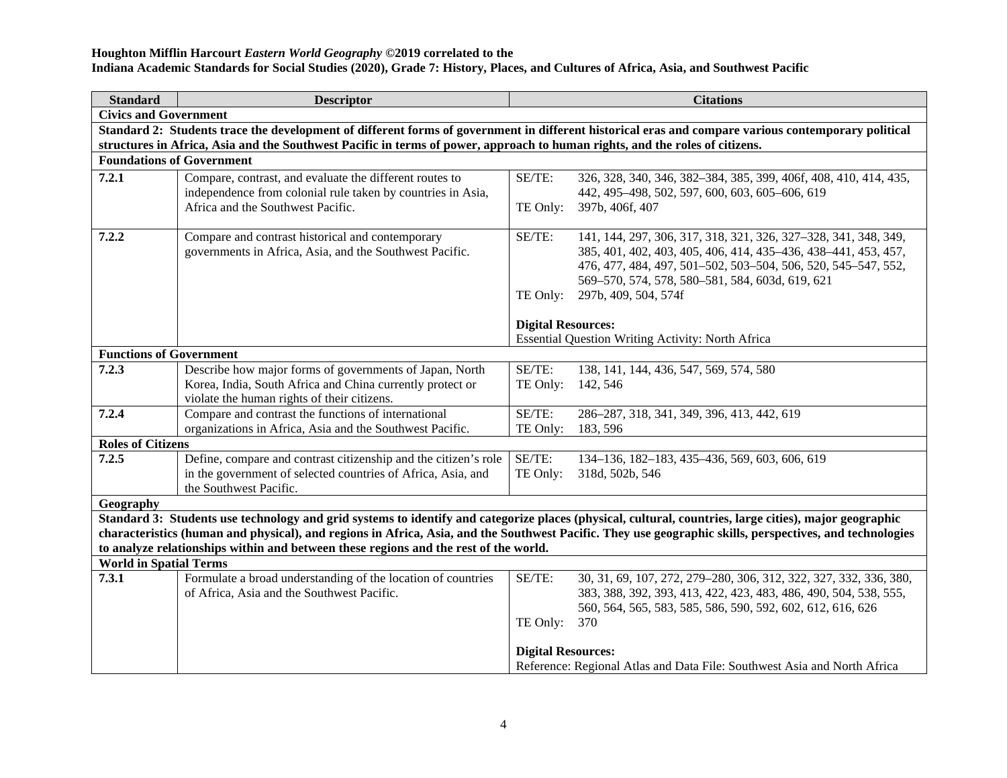#### **Houghton Mifflin Harcourt** *Eastern World Geography* **©2019 correlated to the**

**Indiana Academic Standards for Social Studies (2020), Grade 7: History, Places, and Cultures of Africa, Asia, and Southwest Pacific**

| <b>Standard</b>                                                                                                              | <b>Descriptor</b>                                                                                                                                   |                           | <b>Citations</b>                                                                                                                                                                                                                                                                                                   |  |  |
|------------------------------------------------------------------------------------------------------------------------------|-----------------------------------------------------------------------------------------------------------------------------------------------------|---------------------------|--------------------------------------------------------------------------------------------------------------------------------------------------------------------------------------------------------------------------------------------------------------------------------------------------------------------|--|--|
| <b>Civics and Government</b>                                                                                                 |                                                                                                                                                     |                           |                                                                                                                                                                                                                                                                                                                    |  |  |
|                                                                                                                              | Standard 2: Students trace the development of different forms of government in different historical eras and compare various contemporary political |                           |                                                                                                                                                                                                                                                                                                                    |  |  |
| structures in Africa, Asia and the Southwest Pacific in terms of power, approach to human rights, and the roles of citizens. |                                                                                                                                                     |                           |                                                                                                                                                                                                                                                                                                                    |  |  |
| <b>Foundations of Government</b>                                                                                             |                                                                                                                                                     |                           |                                                                                                                                                                                                                                                                                                                    |  |  |
| 7.2.1                                                                                                                        | Compare, contrast, and evaluate the different routes to                                                                                             | SE/TE:                    | 326, 328, 340, 346, 382-384, 385, 399, 406f, 408, 410, 414, 435,                                                                                                                                                                                                                                                   |  |  |
|                                                                                                                              | independence from colonial rule taken by countries in Asia,                                                                                         |                           | 442, 495-498, 502, 597, 600, 603, 605-606, 619                                                                                                                                                                                                                                                                     |  |  |
|                                                                                                                              | Africa and the Southwest Pacific.                                                                                                                   | TE Only:                  | 397b, 406f, 407                                                                                                                                                                                                                                                                                                    |  |  |
|                                                                                                                              |                                                                                                                                                     |                           |                                                                                                                                                                                                                                                                                                                    |  |  |
| 7.2.2                                                                                                                        | Compare and contrast historical and contemporary                                                                                                    | SE/TE:                    | 141, 144, 297, 306, 317, 318, 321, 326, 327-328, 341, 348, 349,                                                                                                                                                                                                                                                    |  |  |
|                                                                                                                              | governments in Africa, Asia, and the Southwest Pacific.                                                                                             |                           | 385, 401, 402, 403, 405, 406, 414, 435-436, 438-441, 453, 457,<br>476, 477, 484, 497, 501-502, 503-504, 506, 520, 545-547, 552,                                                                                                                                                                                    |  |  |
|                                                                                                                              |                                                                                                                                                     |                           | 569-570, 574, 578, 580-581, 584, 603d, 619, 621                                                                                                                                                                                                                                                                    |  |  |
|                                                                                                                              |                                                                                                                                                     | TE Only:                  | 297b, 409, 504, 574f                                                                                                                                                                                                                                                                                               |  |  |
|                                                                                                                              |                                                                                                                                                     |                           |                                                                                                                                                                                                                                                                                                                    |  |  |
|                                                                                                                              |                                                                                                                                                     | <b>Digital Resources:</b> |                                                                                                                                                                                                                                                                                                                    |  |  |
|                                                                                                                              |                                                                                                                                                     |                           | <b>Essential Question Writing Activity: North Africa</b>                                                                                                                                                                                                                                                           |  |  |
| <b>Functions of Government</b>                                                                                               |                                                                                                                                                     |                           |                                                                                                                                                                                                                                                                                                                    |  |  |
| 7.2.3                                                                                                                        | Describe how major forms of governments of Japan, North                                                                                             | SE/TE:                    | 138, 141, 144, 436, 547, 569, 574, 580                                                                                                                                                                                                                                                                             |  |  |
|                                                                                                                              | Korea, India, South Africa and China currently protect or                                                                                           | TE Only:                  | 142, 546                                                                                                                                                                                                                                                                                                           |  |  |
|                                                                                                                              | violate the human rights of their citizens.                                                                                                         |                           |                                                                                                                                                                                                                                                                                                                    |  |  |
| 7.2.4                                                                                                                        | Compare and contrast the functions of international                                                                                                 | SE/TE:                    | 286-287, 318, 341, 349, 396, 413, 442, 619                                                                                                                                                                                                                                                                         |  |  |
|                                                                                                                              | organizations in Africa, Asia and the Southwest Pacific.                                                                                            | TE Only:                  | 183, 596                                                                                                                                                                                                                                                                                                           |  |  |
| <b>Roles of Citizens</b>                                                                                                     |                                                                                                                                                     |                           |                                                                                                                                                                                                                                                                                                                    |  |  |
| 7.2.5                                                                                                                        | Define, compare and contrast citizenship and the citizen's role                                                                                     | SE/TE:                    | 134-136, 182-183, 435-436, 569, 603, 606, 619                                                                                                                                                                                                                                                                      |  |  |
|                                                                                                                              | in the government of selected countries of Africa, Asia, and                                                                                        | TE Only:                  | 318d, 502b, 546                                                                                                                                                                                                                                                                                                    |  |  |
|                                                                                                                              | the Southwest Pacific.                                                                                                                              |                           |                                                                                                                                                                                                                                                                                                                    |  |  |
| Geography                                                                                                                    |                                                                                                                                                     |                           |                                                                                                                                                                                                                                                                                                                    |  |  |
|                                                                                                                              |                                                                                                                                                     |                           | Standard 3: Students use technology and grid systems to identify and categorize places (physical, cultural, countries, large cities), major geographic<br>characteristics (human and physical), and regions in Africa, Asia, and the Southwest Pacific. They use geographic skills, perspectives, and technologies |  |  |
|                                                                                                                              | to analyze relationships within and between these regions and the rest of the world.                                                                |                           |                                                                                                                                                                                                                                                                                                                    |  |  |
| <b>World in Spatial Terms</b>                                                                                                |                                                                                                                                                     |                           |                                                                                                                                                                                                                                                                                                                    |  |  |
| 7.3.1                                                                                                                        | Formulate a broad understanding of the location of countries                                                                                        | SE/TE:                    | 30, 31, 69, 107, 272, 279-280, 306, 312, 322, 327, 332, 336, 380,                                                                                                                                                                                                                                                  |  |  |
|                                                                                                                              | of Africa, Asia and the Southwest Pacific.                                                                                                          |                           | 383, 388, 392, 393, 413, 422, 423, 483, 486, 490, 504, 538, 555,                                                                                                                                                                                                                                                   |  |  |
|                                                                                                                              |                                                                                                                                                     |                           | 560, 564, 565, 583, 585, 586, 590, 592, 602, 612, 616, 626                                                                                                                                                                                                                                                         |  |  |
|                                                                                                                              |                                                                                                                                                     | TE Only:                  | 370                                                                                                                                                                                                                                                                                                                |  |  |
|                                                                                                                              |                                                                                                                                                     | <b>Digital Resources:</b> |                                                                                                                                                                                                                                                                                                                    |  |  |
|                                                                                                                              |                                                                                                                                                     |                           | Reference: Regional Atlas and Data File: Southwest Asia and North Africa                                                                                                                                                                                                                                           |  |  |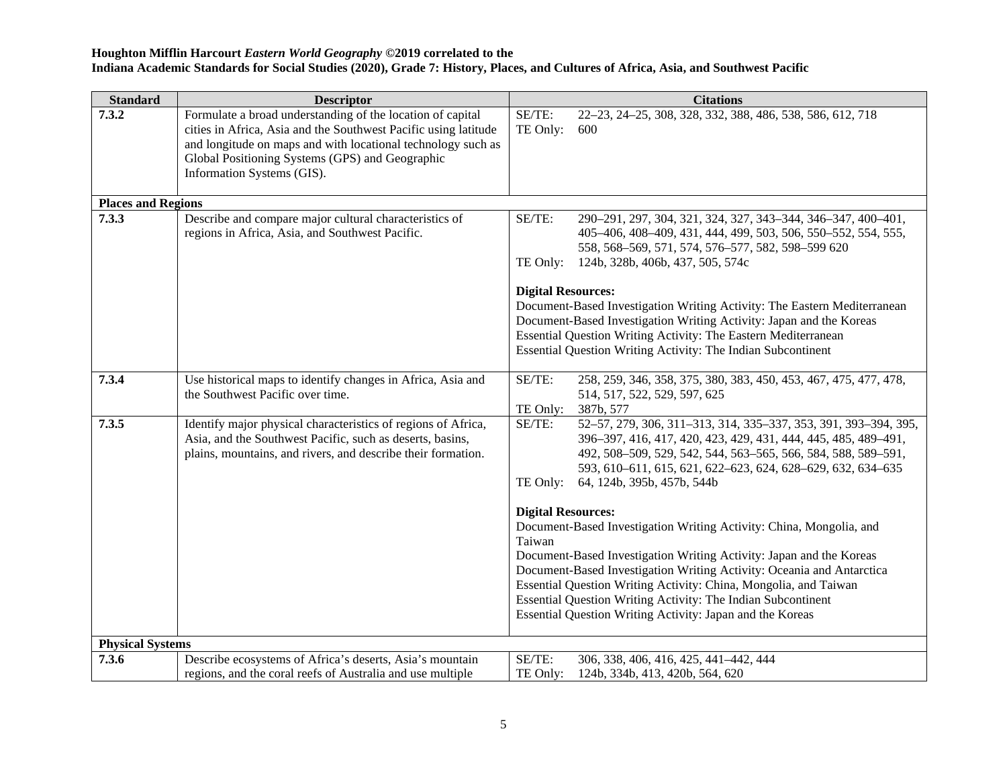| <b>Standard</b>           | <b>Descriptor</b>                                                                                                                                                                                                                                                              | <b>Citations</b>                                                                                                                                                                                                                                                                                                                                                                                                                                            |
|---------------------------|--------------------------------------------------------------------------------------------------------------------------------------------------------------------------------------------------------------------------------------------------------------------------------|-------------------------------------------------------------------------------------------------------------------------------------------------------------------------------------------------------------------------------------------------------------------------------------------------------------------------------------------------------------------------------------------------------------------------------------------------------------|
| 7.3.2                     | Formulate a broad understanding of the location of capital<br>cities in Africa, Asia and the Southwest Pacific using latitude<br>and longitude on maps and with locational technology such as<br>Global Positioning Systems (GPS) and Geographic<br>Information Systems (GIS). | SE/TE:<br>22-23, 24-25, 308, 328, 332, 388, 486, 538, 586, 612, 718<br>TE Only:<br>600                                                                                                                                                                                                                                                                                                                                                                      |
| <b>Places and Regions</b> |                                                                                                                                                                                                                                                                                |                                                                                                                                                                                                                                                                                                                                                                                                                                                             |
| 7.3.3                     | Describe and compare major cultural characteristics of<br>regions in Africa, Asia, and Southwest Pacific.                                                                                                                                                                      | SE/TE:<br>290-291, 297, 304, 321, 324, 327, 343-344, 346-347, 400-401,<br>405-406, 408-409, 431, 444, 499, 503, 506, 550-552, 554, 555,<br>558, 568-569, 571, 574, 576-577, 582, 598-599 620<br>TE Only:<br>124b, 328b, 406b, 437, 505, 574c                                                                                                                                                                                                                |
|                           |                                                                                                                                                                                                                                                                                | <b>Digital Resources:</b><br>Document-Based Investigation Writing Activity: The Eastern Mediterranean<br>Document-Based Investigation Writing Activity: Japan and the Koreas<br>Essential Question Writing Activity: The Eastern Mediterranean<br>Essential Question Writing Activity: The Indian Subcontinent                                                                                                                                              |
| 7.3.4                     | Use historical maps to identify changes in Africa, Asia and<br>the Southwest Pacific over time.                                                                                                                                                                                | SE/TE:<br>258, 259, 346, 358, 375, 380, 383, 450, 453, 467, 475, 477, 478,<br>514, 517, 522, 529, 597, 625<br>387b, 577<br>TE Only:                                                                                                                                                                                                                                                                                                                         |
| 7.3.5                     | Identify major physical characteristics of regions of Africa,<br>Asia, and the Southwest Pacific, such as deserts, basins,<br>plains, mountains, and rivers, and describe their formation.                                                                                     | SE/TE:<br>52-57, 279, 306, 311-313, 314, 335-337, 353, 391, 393-394, 395,<br>396-397, 416, 417, 420, 423, 429, 431, 444, 445, 485, 489-491,<br>492, 508-509, 529, 542, 544, 563-565, 566, 584, 588, 589-591,<br>593, 610-611, 615, 621, 622-623, 624, 628-629, 632, 634-635<br>TE Only:<br>64, 124b, 395b, 457b, 544b                                                                                                                                       |
|                           |                                                                                                                                                                                                                                                                                | <b>Digital Resources:</b><br>Document-Based Investigation Writing Activity: China, Mongolia, and<br>Taiwan<br>Document-Based Investigation Writing Activity: Japan and the Koreas<br>Document-Based Investigation Writing Activity: Oceania and Antarctica<br>Essential Question Writing Activity: China, Mongolia, and Taiwan<br>Essential Question Writing Activity: The Indian Subcontinent<br>Essential Question Writing Activity: Japan and the Koreas |
| <b>Physical Systems</b>   |                                                                                                                                                                                                                                                                                |                                                                                                                                                                                                                                                                                                                                                                                                                                                             |
| 7.3.6                     | Describe ecosystems of Africa's deserts, Asia's mountain<br>regions, and the coral reefs of Australia and use multiple                                                                                                                                                         | SE/TE:<br>306, 338, 406, 416, 425, 441-442, 444<br>TE Only:<br>124b, 334b, 413, 420b, 564, 620                                                                                                                                                                                                                                                                                                                                                              |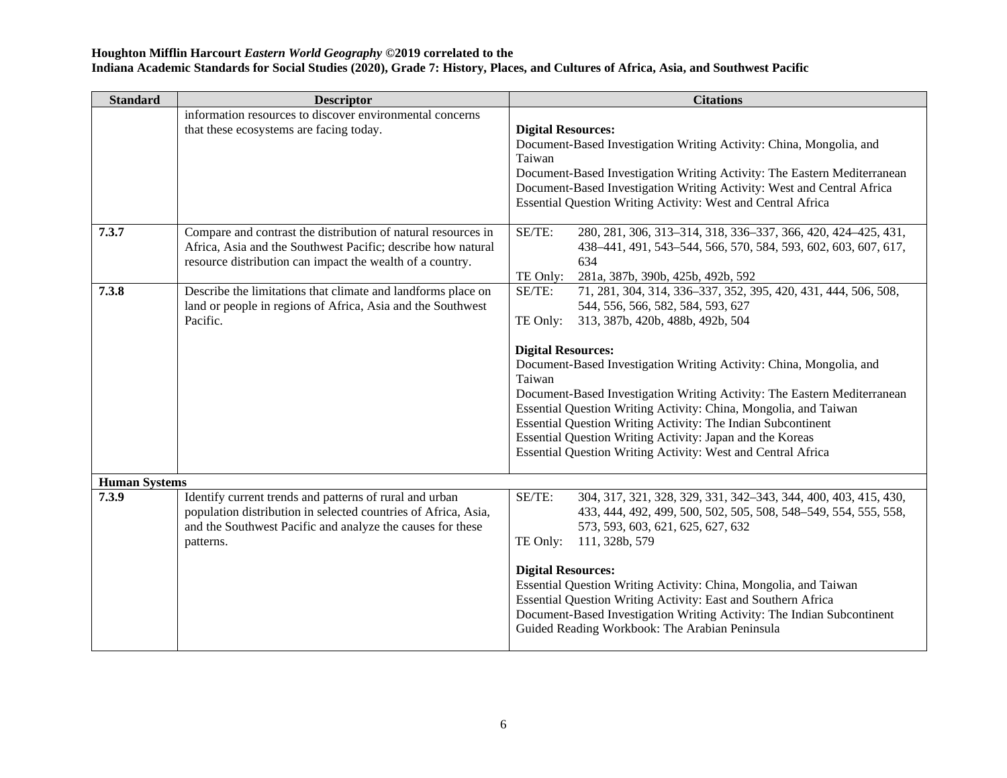| <b>Standard</b>               | <b>Descriptor</b>                                                                                                                                                                                    | <b>Citations</b>                                                                                                                                                                                                                                                                                                                                                                                                                                                                                                                                                                                                         |
|-------------------------------|------------------------------------------------------------------------------------------------------------------------------------------------------------------------------------------------------|--------------------------------------------------------------------------------------------------------------------------------------------------------------------------------------------------------------------------------------------------------------------------------------------------------------------------------------------------------------------------------------------------------------------------------------------------------------------------------------------------------------------------------------------------------------------------------------------------------------------------|
|                               | information resources to discover environmental concerns<br>that these ecosystems are facing today.                                                                                                  | <b>Digital Resources:</b><br>Document-Based Investigation Writing Activity: China, Mongolia, and<br>Taiwan<br>Document-Based Investigation Writing Activity: The Eastern Mediterranean<br>Document-Based Investigation Writing Activity: West and Central Africa<br>Essential Question Writing Activity: West and Central Africa                                                                                                                                                                                                                                                                                         |
| 7.3.7                         | Compare and contrast the distribution of natural resources in<br>Africa, Asia and the Southwest Pacific; describe how natural<br>resource distribution can impact the wealth of a country.           | SE/TE:<br>280, 281, 306, 313-314, 318, 336-337, 366, 420, 424-425, 431,<br>438-441, 491, 543-544, 566, 570, 584, 593, 602, 603, 607, 617,<br>634<br>TE Only:<br>281a, 387b, 390b, 425b, 492b, 592                                                                                                                                                                                                                                                                                                                                                                                                                        |
| 7.3.8                         | Describe the limitations that climate and landforms place on<br>land or people in regions of Africa, Asia and the Southwest<br>Pacific.                                                              | SE/TE:<br>71, 281, 304, 314, 336-337, 352, 395, 420, 431, 444, 506, 508,<br>544, 556, 566, 582, 584, 593, 627<br>313, 387b, 420b, 488b, 492b, 504<br>TE Only:<br><b>Digital Resources:</b><br>Document-Based Investigation Writing Activity: China, Mongolia, and<br>Taiwan<br>Document-Based Investigation Writing Activity: The Eastern Mediterranean<br>Essential Question Writing Activity: China, Mongolia, and Taiwan<br>Essential Question Writing Activity: The Indian Subcontinent<br>Essential Question Writing Activity: Japan and the Koreas<br>Essential Question Writing Activity: West and Central Africa |
| <b>Human Systems</b><br>7.3.9 | Identify current trends and patterns of rural and urban<br>population distribution in selected countries of Africa, Asia,<br>and the Southwest Pacific and analyze the causes for these<br>patterns. | SE/TE:<br>304, 317, 321, 328, 329, 331, 342-343, 344, 400, 403, 415, 430,<br>433, 444, 492, 499, 500, 502, 505, 508, 548-549, 554, 555, 558,<br>573, 593, 603, 621, 625, 627, 632<br>TE Only:<br>111, 328b, 579<br><b>Digital Resources:</b><br>Essential Question Writing Activity: China, Mongolia, and Taiwan<br>Essential Question Writing Activity: East and Southern Africa<br>Document-Based Investigation Writing Activity: The Indian Subcontinent<br>Guided Reading Workbook: The Arabian Peninsula                                                                                                            |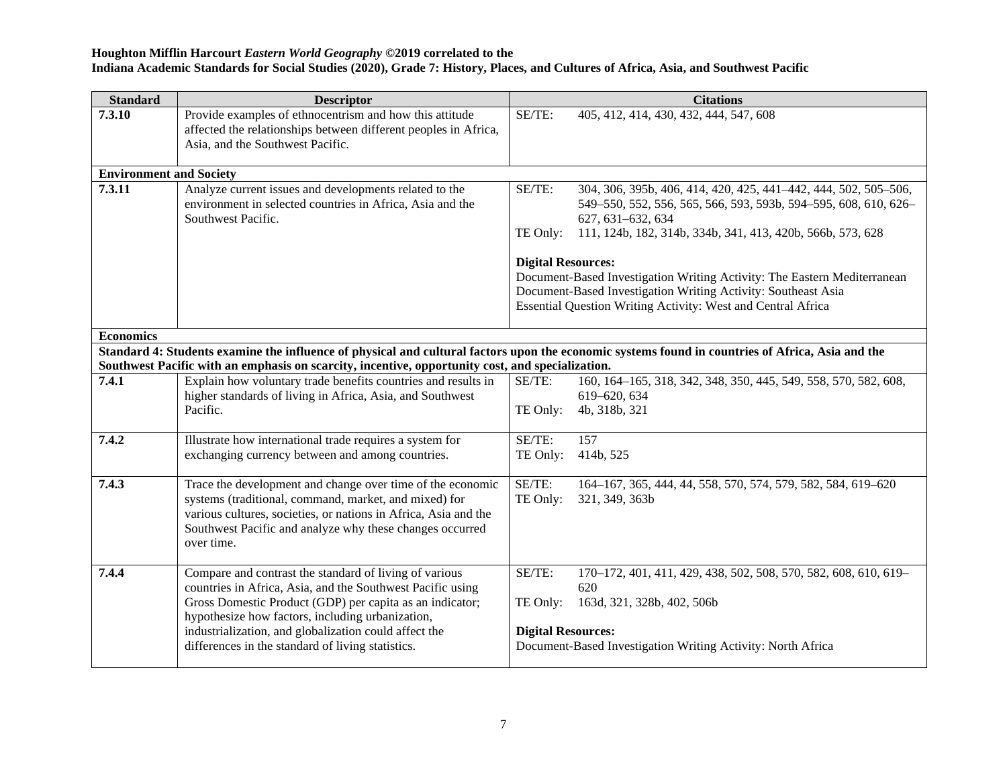| <b>Standard</b>                                                                                                                                  | <b>Descriptor</b>                                                                                                                                                                                                                                                                                                                                  |                                                 | <b>Citations</b>                                                                                                                                                                                                      |  |
|--------------------------------------------------------------------------------------------------------------------------------------------------|----------------------------------------------------------------------------------------------------------------------------------------------------------------------------------------------------------------------------------------------------------------------------------------------------------------------------------------------------|-------------------------------------------------|-----------------------------------------------------------------------------------------------------------------------------------------------------------------------------------------------------------------------|--|
| 7.3.10                                                                                                                                           | Provide examples of ethnocentrism and how this attitude<br>affected the relationships between different peoples in Africa,<br>Asia, and the Southwest Pacific.                                                                                                                                                                                     | SE/TE:                                          | 405, 412, 414, 430, 432, 444, 547, 608                                                                                                                                                                                |  |
| <b>Environment and Society</b>                                                                                                                   |                                                                                                                                                                                                                                                                                                                                                    |                                                 |                                                                                                                                                                                                                       |  |
| 7.3.11                                                                                                                                           | Analyze current issues and developments related to the<br>environment in selected countries in Africa, Asia and the<br>Southwest Pacific.                                                                                                                                                                                                          | SE/TE:<br>TE Only:                              | 304, 306, 395b, 406, 414, 420, 425, 441-442, 444, 502, 505-506,<br>549-550, 552, 556, 565, 566, 593, 593b, 594-595, 608, 610, 626-<br>627, 631-632, 634<br>111, 124b, 182, 314b, 334b, 341, 413, 420b, 566b, 573, 628 |  |
|                                                                                                                                                  |                                                                                                                                                                                                                                                                                                                                                    | <b>Digital Resources:</b>                       |                                                                                                                                                                                                                       |  |
|                                                                                                                                                  |                                                                                                                                                                                                                                                                                                                                                    |                                                 | Document-Based Investigation Writing Activity: The Eastern Mediterranean<br>Document-Based Investigation Writing Activity: Southeast Asia<br><b>Essential Question Writing Activity: West and Central Africa</b>      |  |
| <b>Economics</b>                                                                                                                                 |                                                                                                                                                                                                                                                                                                                                                    |                                                 |                                                                                                                                                                                                                       |  |
| Standard 4: Students examine the influence of physical and cultural factors upon the economic systems found in countries of Africa, Asia and the |                                                                                                                                                                                                                                                                                                                                                    |                                                 |                                                                                                                                                                                                                       |  |
|                                                                                                                                                  | Southwest Pacific with an emphasis on scarcity, incentive, opportunity cost, and specialization.                                                                                                                                                                                                                                                   |                                                 |                                                                                                                                                                                                                       |  |
| 7.4.1                                                                                                                                            | Explain how voluntary trade benefits countries and results in<br>higher standards of living in Africa, Asia, and Southwest                                                                                                                                                                                                                         | SE/TE:                                          | 160, 164-165, 318, 342, 348, 350, 445, 549, 558, 570, 582, 608,<br>619-620, 634                                                                                                                                       |  |
|                                                                                                                                                  | Pacific.                                                                                                                                                                                                                                                                                                                                           | TE Only:                                        | 4b, 318b, 321                                                                                                                                                                                                         |  |
| 7.4.2                                                                                                                                            | Illustrate how international trade requires a system for                                                                                                                                                                                                                                                                                           | SE/TE:                                          | 157                                                                                                                                                                                                                   |  |
|                                                                                                                                                  | exchanging currency between and among countries.                                                                                                                                                                                                                                                                                                   | TE Only:                                        | 414b, 525                                                                                                                                                                                                             |  |
| 7.4.3                                                                                                                                            | Trace the development and change over time of the economic<br>systems (traditional, command, market, and mixed) for<br>various cultures, societies, or nations in Africa, Asia and the<br>Southwest Pacific and analyze why these changes occurred<br>over time.                                                                                   | SE/TE:<br>TE Only:                              | 164-167, 365, 444, 44, 558, 570, 574, 579, 582, 584, 619-620<br>321, 349, 363b                                                                                                                                        |  |
| 7.4.4                                                                                                                                            | Compare and contrast the standard of living of various<br>countries in Africa, Asia, and the Southwest Pacific using<br>Gross Domestic Product (GDP) per capita as an indicator;<br>hypothesize how factors, including urbanization,<br>industrialization, and globalization could affect the<br>differences in the standard of living statistics. | SE/TE:<br>TE Only:<br><b>Digital Resources:</b> | 170-172, 401, 411, 429, 438, 502, 508, 570, 582, 608, 610, 619-<br>620<br>163d, 321, 328b, 402, 506b<br>Document-Based Investigation Writing Activity: North Africa                                                   |  |
|                                                                                                                                                  |                                                                                                                                                                                                                                                                                                                                                    |                                                 |                                                                                                                                                                                                                       |  |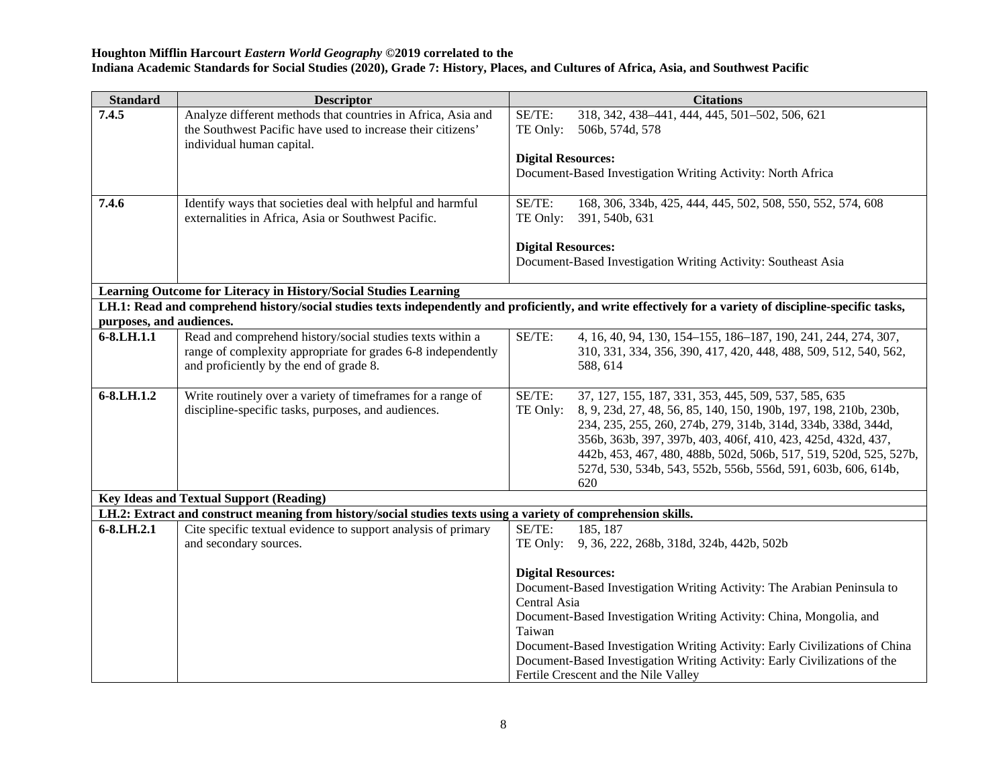| 7.4.5                    | Analyze different methods that countries in Africa, Asia and<br>the Southwest Pacific have used to increase their citizens'<br>individual human capital.             | SE/TE:<br>TE Only:                                  | 318, 342, 438-441, 444, 445, 501-502, 506, 621                                                                                                                                                                                                                                                                                                                                                        |
|--------------------------|----------------------------------------------------------------------------------------------------------------------------------------------------------------------|-----------------------------------------------------|-------------------------------------------------------------------------------------------------------------------------------------------------------------------------------------------------------------------------------------------------------------------------------------------------------------------------------------------------------------------------------------------------------|
|                          |                                                                                                                                                                      |                                                     | 506b, 574d, 578                                                                                                                                                                                                                                                                                                                                                                                       |
|                          |                                                                                                                                                                      | <b>Digital Resources:</b>                           |                                                                                                                                                                                                                                                                                                                                                                                                       |
|                          |                                                                                                                                                                      |                                                     | Document-Based Investigation Writing Activity: North Africa                                                                                                                                                                                                                                                                                                                                           |
| 7.4.6                    | Identify ways that societies deal with helpful and harmful<br>externalities in Africa, Asia or Southwest Pacific.                                                    | SE/TE:<br>TE Only:                                  | 168, 306, 334b, 425, 444, 445, 502, 508, 550, 552, 574, 608<br>391, 540b, 631                                                                                                                                                                                                                                                                                                                         |
|                          |                                                                                                                                                                      | <b>Digital Resources:</b>                           | Document-Based Investigation Writing Activity: Southeast Asia                                                                                                                                                                                                                                                                                                                                         |
|                          | Learning Outcome for Literacy in History/Social Studies Learning                                                                                                     |                                                     |                                                                                                                                                                                                                                                                                                                                                                                                       |
|                          |                                                                                                                                                                      |                                                     | LH.1: Read and comprehend history/social studies texts independently and proficiently, and write effectively for a variety of discipline-specific tasks,                                                                                                                                                                                                                                              |
| purposes, and audiences. |                                                                                                                                                                      |                                                     |                                                                                                                                                                                                                                                                                                                                                                                                       |
| 6-8.LH.1.1               | Read and comprehend history/social studies texts within a<br>range of complexity appropriate for grades 6-8 independently<br>and proficiently by the end of grade 8. | SE/TE:                                              | 4, 16, 40, 94, 130, 154-155, 186-187, 190, 241, 244, 274, 307,<br>310, 331, 334, 356, 390, 417, 420, 448, 488, 509, 512, 540, 562,<br>588, 614                                                                                                                                                                                                                                                        |
| $6 - 8$ .LH.1.2          | Write routinely over a variety of timeframes for a range of<br>discipline-specific tasks, purposes, and audiences.                                                   | SE/TE:<br>TE Only:                                  | 37, 127, 155, 187, 331, 353, 445, 509, 537, 585, 635<br>8, 9, 23d, 27, 48, 56, 85, 140, 150, 190b, 197, 198, 210b, 230b,<br>234, 235, 255, 260, 274b, 279, 314b, 314d, 334b, 338d, 344d,<br>356b, 363b, 397, 397b, 403, 406f, 410, 423, 425d, 432d, 437,<br>442b, 453, 467, 480, 488b, 502d, 506b, 517, 519, 520d, 525, 527b,<br>527d, 530, 534b, 543, 552b, 556b, 556d, 591, 603b, 606, 614b,<br>620 |
|                          | <b>Key Ideas and Textual Support (Reading)</b>                                                                                                                       |                                                     |                                                                                                                                                                                                                                                                                                                                                                                                       |
|                          | LH.2: Extract and construct meaning from history/social studies texts using a variety of comprehension skills.                                                       |                                                     |                                                                                                                                                                                                                                                                                                                                                                                                       |
| 6-8.LH.2.1               | Cite specific textual evidence to support analysis of primary<br>and secondary sources.                                                                              | SE/TE:<br>TE Only:                                  | 185, 187<br>9, 36, 222, 268b, 318d, 324b, 442b, 502b                                                                                                                                                                                                                                                                                                                                                  |
|                          |                                                                                                                                                                      | <b>Digital Resources:</b><br>Central Asia<br>Taiwan | Document-Based Investigation Writing Activity: The Arabian Peninsula to<br>Document-Based Investigation Writing Activity: China, Mongolia, and<br>Document-Based Investigation Writing Activity: Early Civilizations of China<br>Document-Based Investigation Writing Activity: Early Civilizations of the<br>Fertile Crescent and the Nile Valley                                                    |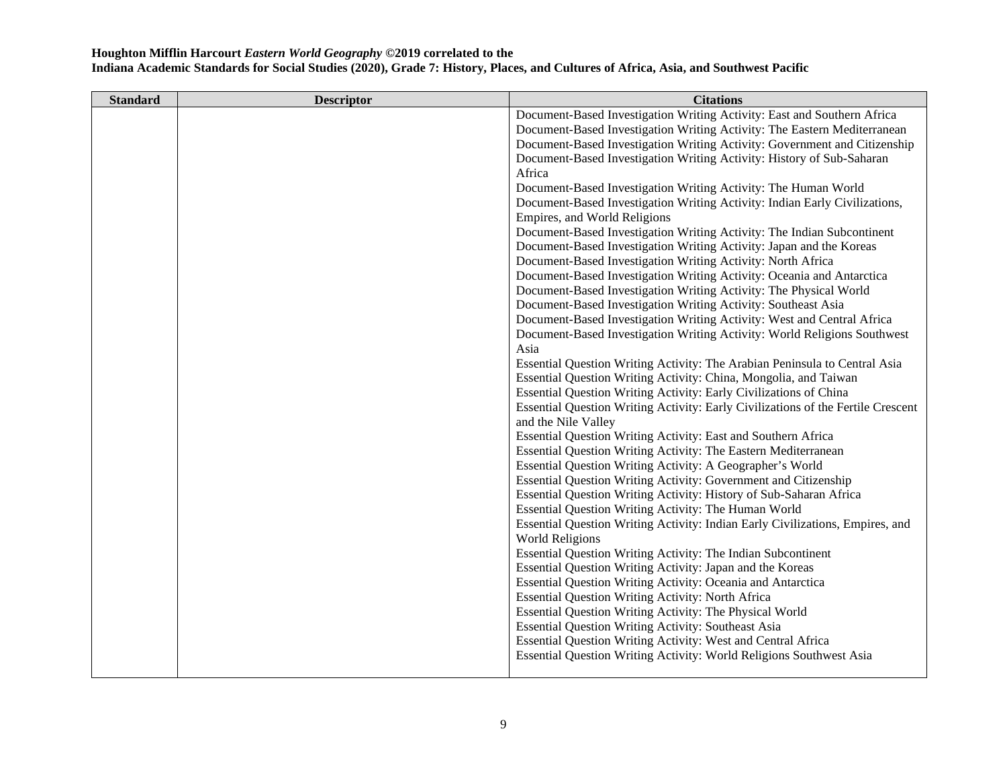| <b>Standard</b> | <b>Descriptor</b> | <b>Citations</b>                                                                 |
|-----------------|-------------------|----------------------------------------------------------------------------------|
|                 |                   | Document-Based Investigation Writing Activity: East and Southern Africa          |
|                 |                   | Document-Based Investigation Writing Activity: The Eastern Mediterranean         |
|                 |                   | Document-Based Investigation Writing Activity: Government and Citizenship        |
|                 |                   | Document-Based Investigation Writing Activity: History of Sub-Saharan            |
|                 |                   | Africa                                                                           |
|                 |                   | Document-Based Investigation Writing Activity: The Human World                   |
|                 |                   | Document-Based Investigation Writing Activity: Indian Early Civilizations,       |
|                 |                   | Empires, and World Religions                                                     |
|                 |                   | Document-Based Investigation Writing Activity: The Indian Subcontinent           |
|                 |                   | Document-Based Investigation Writing Activity: Japan and the Koreas              |
|                 |                   | Document-Based Investigation Writing Activity: North Africa                      |
|                 |                   | Document-Based Investigation Writing Activity: Oceania and Antarctica            |
|                 |                   | Document-Based Investigation Writing Activity: The Physical World                |
|                 |                   | Document-Based Investigation Writing Activity: Southeast Asia                    |
|                 |                   | Document-Based Investigation Writing Activity: West and Central Africa           |
|                 |                   | Document-Based Investigation Writing Activity: World Religions Southwest         |
|                 |                   | Asia                                                                             |
|                 |                   | Essential Question Writing Activity: The Arabian Peninsula to Central Asia       |
|                 |                   | Essential Question Writing Activity: China, Mongolia, and Taiwan                 |
|                 |                   | Essential Question Writing Activity: Early Civilizations of China                |
|                 |                   | Essential Question Writing Activity: Early Civilizations of the Fertile Crescent |
|                 |                   | and the Nile Valley                                                              |
|                 |                   | Essential Question Writing Activity: East and Southern Africa                    |
|                 |                   | Essential Question Writing Activity: The Eastern Mediterranean                   |
|                 |                   | Essential Question Writing Activity: A Geographer's World                        |
|                 |                   | Essential Question Writing Activity: Government and Citizenship                  |
|                 |                   | Essential Question Writing Activity: History of Sub-Saharan Africa               |
|                 |                   | Essential Question Writing Activity: The Human World                             |
|                 |                   | Essential Question Writing Activity: Indian Early Civilizations, Empires, and    |
|                 |                   | <b>World Religions</b>                                                           |
|                 |                   | Essential Question Writing Activity: The Indian Subcontinent                     |
|                 |                   | Essential Question Writing Activity: Japan and the Koreas                        |
|                 |                   | Essential Question Writing Activity: Oceania and Antarctica                      |
|                 |                   | <b>Essential Question Writing Activity: North Africa</b>                         |
|                 |                   | Essential Question Writing Activity: The Physical World                          |
|                 |                   | <b>Essential Question Writing Activity: Southeast Asia</b>                       |
|                 |                   | Essential Question Writing Activity: West and Central Africa                     |
|                 |                   | Essential Question Writing Activity: World Religions Southwest Asia              |
|                 |                   |                                                                                  |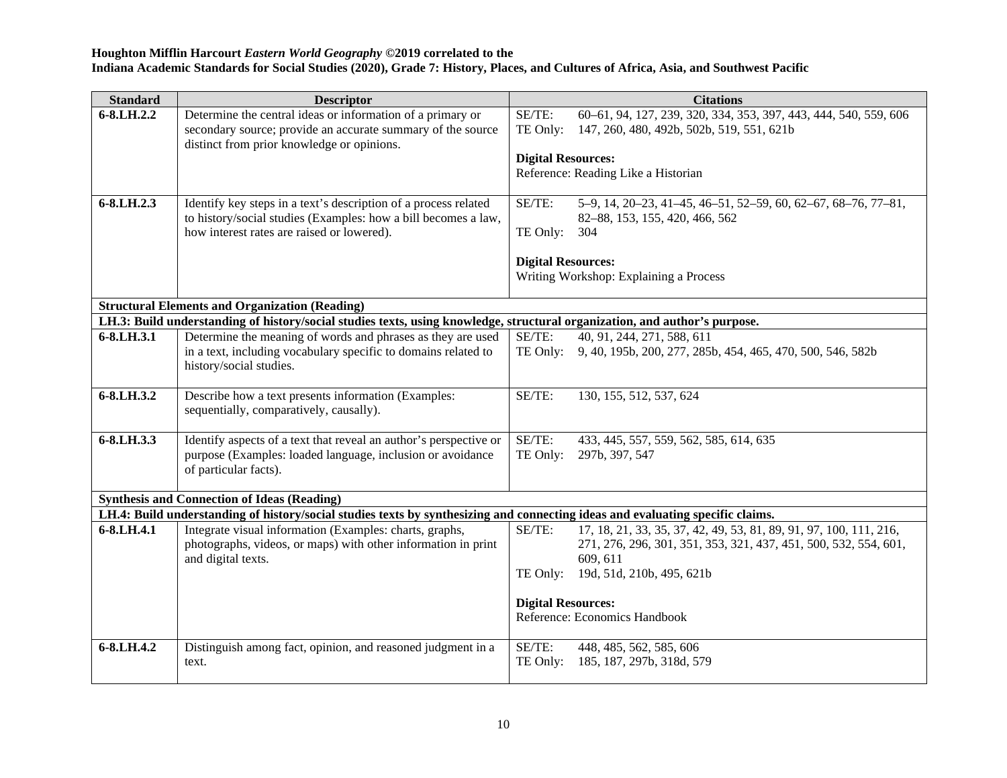| <b>Standard</b> | <b>Descriptor</b>                                                                                                                 | <b>Citations</b>                                                                                          |
|-----------------|-----------------------------------------------------------------------------------------------------------------------------------|-----------------------------------------------------------------------------------------------------------|
| 6-8.LH.2.2      | Determine the central ideas or information of a primary or                                                                        | 60-61, 94, 127, 239, 320, 334, 353, 397, 443, 444, 540, 559, 606<br>SE/TE:                                |
|                 | secondary source; provide an accurate summary of the source<br>distinct from prior knowledge or opinions.                         | TE Only:<br>147, 260, 480, 492b, 502b, 519, 551, 621b                                                     |
|                 |                                                                                                                                   | <b>Digital Resources:</b>                                                                                 |
|                 |                                                                                                                                   | Reference: Reading Like a Historian                                                                       |
|                 |                                                                                                                                   |                                                                                                           |
| 6-8.LH.2.3      | Identify key steps in a text's description of a process related<br>to history/social studies (Examples: how a bill becomes a law, | SE/TE:<br>5-9, 14, 20-23, 41-45, 46-51, 52-59, 60, 62-67, 68-76, 77-81,<br>82-88, 153, 155, 420, 466, 562 |
|                 | how interest rates are raised or lowered).                                                                                        | TE Only:<br>304                                                                                           |
|                 |                                                                                                                                   | <b>Digital Resources:</b>                                                                                 |
|                 |                                                                                                                                   | Writing Workshop: Explaining a Process                                                                    |
|                 |                                                                                                                                   |                                                                                                           |
|                 | <b>Structural Elements and Organization (Reading)</b>                                                                             |                                                                                                           |
|                 | LH.3: Build understanding of history/social studies texts, using knowledge, structural organization, and author's purpose.        |                                                                                                           |
| 6-8.LH.3.1      | Determine the meaning of words and phrases as they are used                                                                       | SE/TE:<br>40, 91, 244, 271, 588, 611                                                                      |
|                 | in a text, including vocabulary specific to domains related to<br>history/social studies.                                         | 9, 40, 195b, 200, 277, 285b, 454, 465, 470, 500, 546, 582b<br>TE Only:                                    |
|                 |                                                                                                                                   |                                                                                                           |
| 6-8.LH.3.2      | Describe how a text presents information (Examples:                                                                               | SE/TE:<br>130, 155, 512, 537, 624                                                                         |
|                 | sequentially, comparatively, causally).                                                                                           |                                                                                                           |
| 6-8.LH.3.3      | Identify aspects of a text that reveal an author's perspective or                                                                 | SE/TE:<br>433, 445, 557, 559, 562, 585, 614, 635                                                          |
|                 | purpose (Examples: loaded language, inclusion or avoidance                                                                        | TE Only:<br>297b, 397, 547                                                                                |
|                 | of particular facts).                                                                                                             |                                                                                                           |
|                 |                                                                                                                                   |                                                                                                           |
|                 | <b>Synthesis and Connection of Ideas (Reading)</b>                                                                                |                                                                                                           |
|                 | LH.4: Build understanding of history/social studies texts by synthesizing and connecting ideas and evaluating specific claims.    |                                                                                                           |
| 6-8.LH.4.1      | Integrate visual information (Examples: charts, graphs,                                                                           | 17, 18, 21, 33, 35, 37, 42, 49, 53, 81, 89, 91, 97, 100, 111, 216,<br>SE/TE:                              |
|                 | photographs, videos, or maps) with other information in print                                                                     | 271, 276, 296, 301, 351, 353, 321, 437, 451, 500, 532, 554, 601,                                          |
|                 | and digital texts.                                                                                                                | 609, 611                                                                                                  |
|                 |                                                                                                                                   | TE Only:<br>19d, 51d, 210b, 495, 621b                                                                     |
|                 |                                                                                                                                   | <b>Digital Resources:</b>                                                                                 |
|                 |                                                                                                                                   | Reference: Economics Handbook                                                                             |
|                 |                                                                                                                                   |                                                                                                           |
| 6-8.LH.4.2      | Distinguish among fact, opinion, and reasoned judgment in a                                                                       | SE/TE:<br>448, 485, 562, 585, 606                                                                         |
|                 | text.                                                                                                                             | TE Only:<br>185, 187, 297b, 318d, 579                                                                     |
|                 |                                                                                                                                   |                                                                                                           |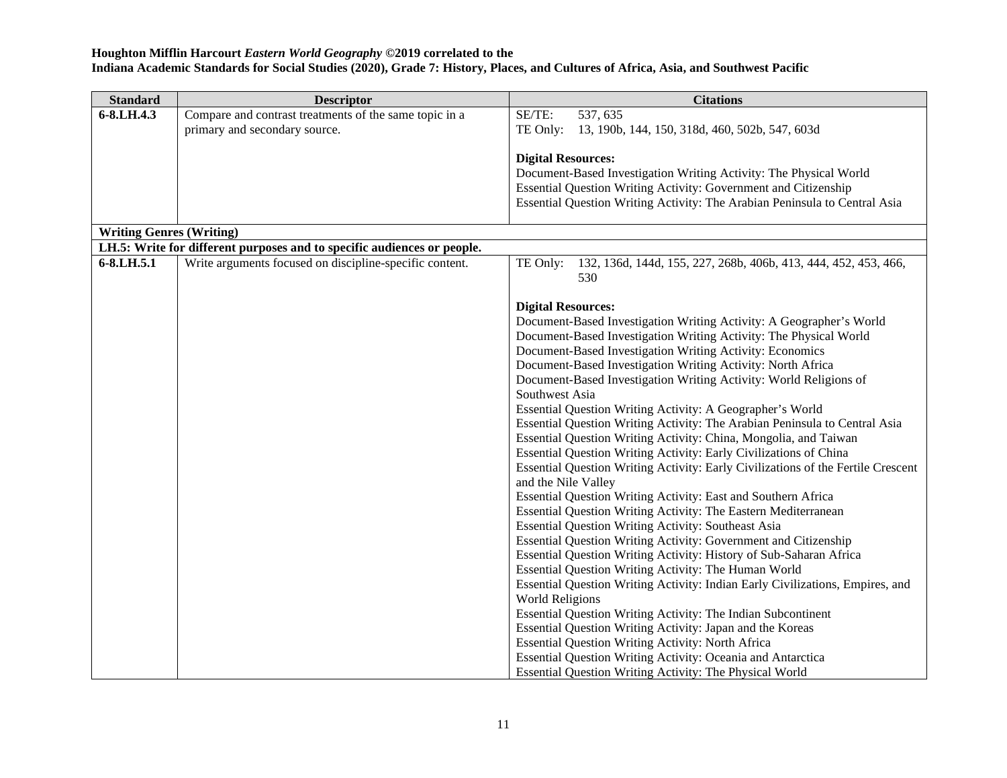| <b>Standard</b>                 | <b>Descriptor</b>                                                       | <b>Citations</b>                                                                 |
|---------------------------------|-------------------------------------------------------------------------|----------------------------------------------------------------------------------|
| 6-8.LH.4.3                      | Compare and contrast treatments of the same topic in a                  | SE/TE:<br>537, 635                                                               |
|                                 | primary and secondary source.                                           | TE Only:<br>13, 190b, 144, 150, 318d, 460, 502b, 547, 603d                       |
|                                 |                                                                         |                                                                                  |
|                                 |                                                                         | <b>Digital Resources:</b>                                                        |
|                                 |                                                                         | Document-Based Investigation Writing Activity: The Physical World                |
|                                 |                                                                         | Essential Question Writing Activity: Government and Citizenship                  |
|                                 |                                                                         | Essential Question Writing Activity: The Arabian Peninsula to Central Asia       |
|                                 |                                                                         |                                                                                  |
| <b>Writing Genres (Writing)</b> |                                                                         |                                                                                  |
|                                 | LH.5: Write for different purposes and to specific audiences or people. |                                                                                  |
| 6-8.LH.5.1                      | Write arguments focused on discipline-specific content.                 | 132, 136d, 144d, 155, 227, 268b, 406b, 413, 444, 452, 453, 466,<br>TE Only:      |
|                                 |                                                                         | 530                                                                              |
|                                 |                                                                         |                                                                                  |
|                                 |                                                                         | <b>Digital Resources:</b>                                                        |
|                                 |                                                                         | Document-Based Investigation Writing Activity: A Geographer's World              |
|                                 |                                                                         | Document-Based Investigation Writing Activity: The Physical World                |
|                                 |                                                                         | Document-Based Investigation Writing Activity: Economics                         |
|                                 |                                                                         | Document-Based Investigation Writing Activity: North Africa                      |
|                                 |                                                                         | Document-Based Investigation Writing Activity: World Religions of                |
|                                 |                                                                         | Southwest Asia                                                                   |
|                                 |                                                                         | Essential Question Writing Activity: A Geographer's World                        |
|                                 |                                                                         | Essential Question Writing Activity: The Arabian Peninsula to Central Asia       |
|                                 |                                                                         | Essential Question Writing Activity: China, Mongolia, and Taiwan                 |
|                                 |                                                                         | Essential Question Writing Activity: Early Civilizations of China                |
|                                 |                                                                         | Essential Question Writing Activity: Early Civilizations of the Fertile Crescent |
|                                 |                                                                         | and the Nile Valley                                                              |
|                                 |                                                                         | Essential Question Writing Activity: East and Southern Africa                    |
|                                 |                                                                         | Essential Question Writing Activity: The Eastern Mediterranean                   |
|                                 |                                                                         | <b>Essential Question Writing Activity: Southeast Asia</b>                       |
|                                 |                                                                         | Essential Question Writing Activity: Government and Citizenship                  |
|                                 |                                                                         | Essential Question Writing Activity: History of Sub-Saharan Africa               |
|                                 |                                                                         | Essential Question Writing Activity: The Human World                             |
|                                 |                                                                         | Essential Question Writing Activity: Indian Early Civilizations, Empires, and    |
|                                 |                                                                         | <b>World Religions</b>                                                           |
|                                 |                                                                         | Essential Question Writing Activity: The Indian Subcontinent                     |
|                                 |                                                                         | Essential Question Writing Activity: Japan and the Koreas                        |
|                                 |                                                                         | <b>Essential Question Writing Activity: North Africa</b>                         |
|                                 |                                                                         | Essential Question Writing Activity: Oceania and Antarctica                      |
|                                 |                                                                         | Essential Question Writing Activity: The Physical World                          |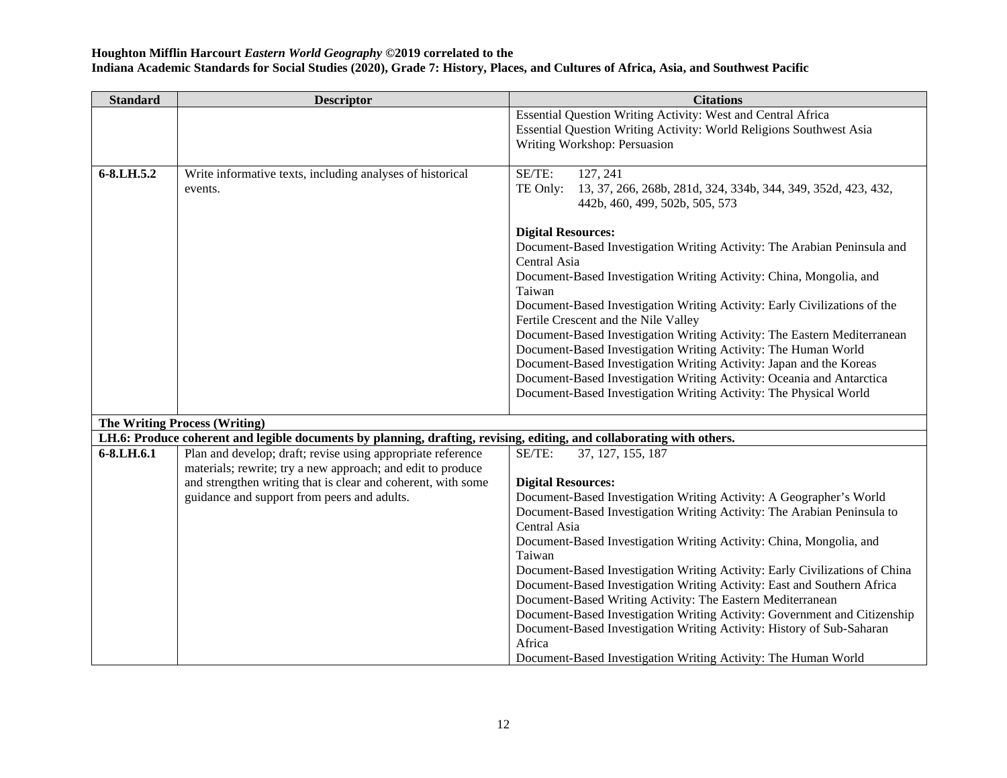| <b>Standard</b> | <b>Descriptor</b>                                                                                                     | <b>Citations</b>                                                            |
|-----------------|-----------------------------------------------------------------------------------------------------------------------|-----------------------------------------------------------------------------|
|                 |                                                                                                                       | Essential Question Writing Activity: West and Central Africa                |
|                 |                                                                                                                       | Essential Question Writing Activity: World Religions Southwest Asia         |
|                 |                                                                                                                       | Writing Workshop: Persuasion                                                |
|                 |                                                                                                                       |                                                                             |
| 6-8.LH.5.2      | Write informative texts, including analyses of historical                                                             | SE/TE:<br>127, 241                                                          |
|                 | events.                                                                                                               | TE Only:<br>13, 37, 266, 268b, 281d, 324, 334b, 344, 349, 352d, 423, 432,   |
|                 |                                                                                                                       | 442b, 460, 499, 502b, 505, 573                                              |
|                 |                                                                                                                       |                                                                             |
|                 |                                                                                                                       | <b>Digital Resources:</b>                                                   |
|                 |                                                                                                                       | Document-Based Investigation Writing Activity: The Arabian Peninsula and    |
|                 |                                                                                                                       | Central Asia                                                                |
|                 |                                                                                                                       | Document-Based Investigation Writing Activity: China, Mongolia, and         |
|                 |                                                                                                                       | Taiwan                                                                      |
|                 |                                                                                                                       | Document-Based Investigation Writing Activity: Early Civilizations of the   |
|                 |                                                                                                                       | Fertile Crescent and the Nile Valley                                        |
|                 |                                                                                                                       | Document-Based Investigation Writing Activity: The Eastern Mediterranean    |
|                 |                                                                                                                       | Document-Based Investigation Writing Activity: The Human World              |
|                 |                                                                                                                       | Document-Based Investigation Writing Activity: Japan and the Koreas         |
|                 |                                                                                                                       | Document-Based Investigation Writing Activity: Oceania and Antarctica       |
|                 |                                                                                                                       | Document-Based Investigation Writing Activity: The Physical World           |
|                 | <b>The Writing Process (Writing)</b>                                                                                  |                                                                             |
|                 | LH.6: Produce coherent and legible documents by planning, drafting, revising, editing, and collaborating with others. |                                                                             |
| 6-8.LH.6.1      | Plan and develop; draft; revise using appropriate reference                                                           | SE/TE:<br>37, 127, 155, 187                                                 |
|                 | materials; rewrite; try a new approach; and edit to produce                                                           |                                                                             |
|                 | and strengthen writing that is clear and coherent, with some                                                          | <b>Digital Resources:</b>                                                   |
|                 | guidance and support from peers and adults.                                                                           | Document-Based Investigation Writing Activity: A Geographer's World         |
|                 |                                                                                                                       | Document-Based Investigation Writing Activity: The Arabian Peninsula to     |
|                 |                                                                                                                       | Central Asia                                                                |
|                 |                                                                                                                       | Document-Based Investigation Writing Activity: China, Mongolia, and         |
|                 |                                                                                                                       | Taiwan                                                                      |
|                 |                                                                                                                       | Document-Based Investigation Writing Activity: Early Civilizations of China |
|                 |                                                                                                                       | Document-Based Investigation Writing Activity: East and Southern Africa     |
|                 |                                                                                                                       | Document-Based Writing Activity: The Eastern Mediterranean                  |
|                 |                                                                                                                       | Document-Based Investigation Writing Activity: Government and Citizenship   |
|                 |                                                                                                                       | Document-Based Investigation Writing Activity: History of Sub-Saharan       |
|                 |                                                                                                                       | Africa                                                                      |
|                 |                                                                                                                       | Document-Based Investigation Writing Activity: The Human World              |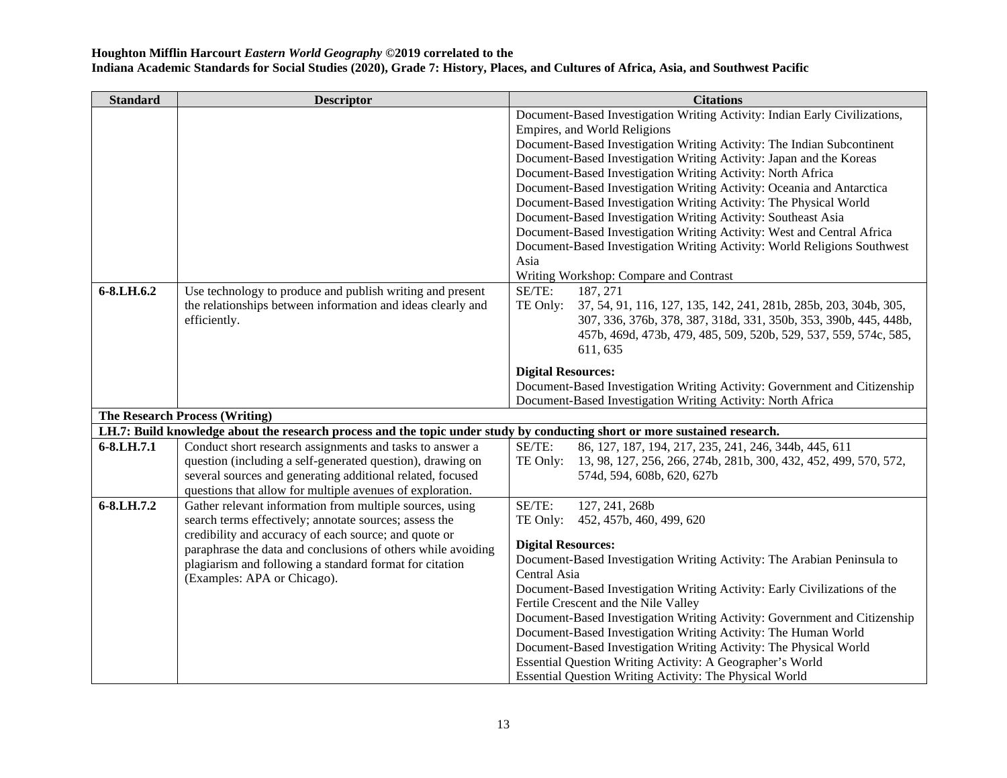| <b>Citations</b>                                                                                                           |  |  |  |
|----------------------------------------------------------------------------------------------------------------------------|--|--|--|
| Document-Based Investigation Writing Activity: Indian Early Civilizations,                                                 |  |  |  |
|                                                                                                                            |  |  |  |
| Document-Based Investigation Writing Activity: The Indian Subcontinent                                                     |  |  |  |
| Document-Based Investigation Writing Activity: Japan and the Koreas                                                        |  |  |  |
| Document-Based Investigation Writing Activity: North Africa                                                                |  |  |  |
| Document-Based Investigation Writing Activity: Oceania and Antarctica                                                      |  |  |  |
| Document-Based Investigation Writing Activity: The Physical World                                                          |  |  |  |
| Document-Based Investigation Writing Activity: Southeast Asia                                                              |  |  |  |
| Document-Based Investigation Writing Activity: West and Central Africa                                                     |  |  |  |
| Document-Based Investigation Writing Activity: World Religions Southwest                                                   |  |  |  |
|                                                                                                                            |  |  |  |
| Writing Workshop: Compare and Contrast                                                                                     |  |  |  |
|                                                                                                                            |  |  |  |
| 37, 54, 91, 116, 127, 135, 142, 241, 281b, 285b, 203, 304b, 305,                                                           |  |  |  |
| 307, 336, 376b, 378, 387, 318d, 331, 350b, 353, 390b, 445, 448b,                                                           |  |  |  |
| 457b, 469d, 473b, 479, 485, 509, 520b, 529, 537, 559, 574c, 585,                                                           |  |  |  |
|                                                                                                                            |  |  |  |
|                                                                                                                            |  |  |  |
| Document-Based Investigation Writing Activity: Government and Citizenship                                                  |  |  |  |
| Document-Based Investigation Writing Activity: North Africa                                                                |  |  |  |
| <b>The Research Process (Writing)</b>                                                                                      |  |  |  |
| LH.7: Build knowledge about the research process and the topic under study by conducting short or more sustained research. |  |  |  |
| 86, 127, 187, 194, 217, 235, 241, 246, 344b, 445, 611                                                                      |  |  |  |
| 13, 98, 127, 256, 266, 274b, 281b, 300, 432, 452, 499, 570, 572,                                                           |  |  |  |
| 574d, 594, 608b, 620, 627b                                                                                                 |  |  |  |
|                                                                                                                            |  |  |  |
|                                                                                                                            |  |  |  |
|                                                                                                                            |  |  |  |
|                                                                                                                            |  |  |  |
| Document-Based Investigation Writing Activity: The Arabian Peninsula to                                                    |  |  |  |
|                                                                                                                            |  |  |  |
|                                                                                                                            |  |  |  |
| Document-Based Investigation Writing Activity: Early Civilizations of the                                                  |  |  |  |
| Document-Based Investigation Writing Activity: Government and Citizenship                                                  |  |  |  |
| Document-Based Investigation Writing Activity: The Human World                                                             |  |  |  |
| Document-Based Investigation Writing Activity: The Physical World                                                          |  |  |  |
| Essential Question Writing Activity: A Geographer's World                                                                  |  |  |  |
| Essential Question Writing Activity: The Physical World                                                                    |  |  |  |
|                                                                                                                            |  |  |  |